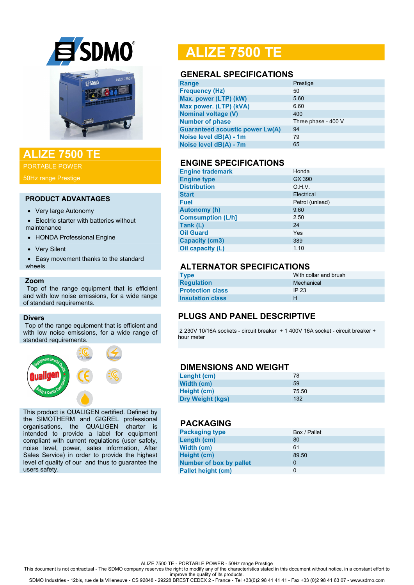

# **ALIZE 7500 TE**

PORTABLE POWER

50Hz range Prestige

#### **PRODUCT ADVANTAGES**

- Very large Autonomy
- Electric starter with batteries without maintenance
- HONDA Professional Engine
- Very Silent
- Easy movement thanks to the standard wheels

#### **Zoom**

 Top of the range equipment that is efficient and with low noise emissions, for a wide range of standard requirements.

#### **Divers**

Top of the range equipment that is efficient and with low noise emissions, for a wide range of standard requirements.



This product is QUALIGEN certified. Defined by the SIMOTHERM and GIGREL professional organisations, the QUALIGEN charter is intended to provide a label for equipment compliant with current regulations (user safety, noise level, power, sales information, After Sales Service) in order to provide the highest level of quality of our and thus to guarantee the users safety.

# **ALIZE 7500 TE**

### **GENERAL SPECIFICATIONS**

| Range                                  | Prestige            |
|----------------------------------------|---------------------|
| <b>Frequency (Hz)</b>                  | 50                  |
| Max. power (LTP) (kW)                  | 5.60                |
| Max power. (LTP) (kVA)                 | 6.60                |
| <b>Nominal voltage (V)</b>             | 400                 |
| <b>Number of phase</b>                 | Three phase - 400 V |
| <b>Guaranteed acoustic power Lw(A)</b> | 94                  |
| Noise level dB(A) - 1m                 | 79                  |
| Noise level dB(A) - 7m                 | 65                  |
|                                        |                     |

## **ENGINE SPECIFICATIONS**

| <b>Engine trademark</b>  | Honda           |
|--------------------------|-----------------|
| <b>Engine type</b>       | GX 390          |
| <b>Distribution</b>      | O.H.V.          |
| <b>Start</b>             | Electrical      |
| <b>Fuel</b>              | Petrol (unlead) |
| <b>Autonomy (h)</b>      | 9.60            |
| <b>Comsumption (L/h]</b> | 2.50            |
| Tank (L)                 | 24              |
| <b>Oil Guard</b>         | Yes             |
| <b>Capacity (cm3)</b>    | 389             |
| Oil capacity (L)         | 1.10            |

## **ALTERNATOR SPECIFICATIONS**

| <b>Type</b>             | With collar and brush |
|-------------------------|-----------------------|
| <b>Regulation</b>       | Mechanical            |
| <b>Protection class</b> | IP 23                 |
| <b>Insulation class</b> | н                     |

## **PLUGS AND PANEL DESCRIPTIVE**

2 230V 10/16A sockets - circuit breaker + 1 400V 16A socket - circuit breaker + hour meter

#### **DIMENSIONS AND WEIGHT**

| Lenght (cm)             | 78    |
|-------------------------|-------|
| Width (cm)              | 59    |
| Height (cm)             | 75.50 |
| <b>Dry Weight (kgs)</b> | 132   |

# **PACKAGING**

| <b>Packaging type</b>          | Box / Pallet |
|--------------------------------|--------------|
| Length (cm)                    | 80           |
| Width (cm)                     | 61           |
| Height (cm)                    | 89.50        |
| <b>Number of box by pallet</b> | 0            |
| <b>Pallet height (cm)</b>      | 0            |

ALIZE 7500 TE - PORTABLE POWER - 50Hz range Prestige

This document is not contractual - The SDMO company reserves the right to modify any of the characteristics stated in this document without notice, in a constant effort to

improve the quality of its products. SDMO Industries - 12bis, rue de la Villeneuve - CS 92848 - 29228 BREST CEDEX 2 - France - Tel +33(0)2 98 41 41 41 - Fax +33 (0)2 98 41 63 07 - www.sdmo.com